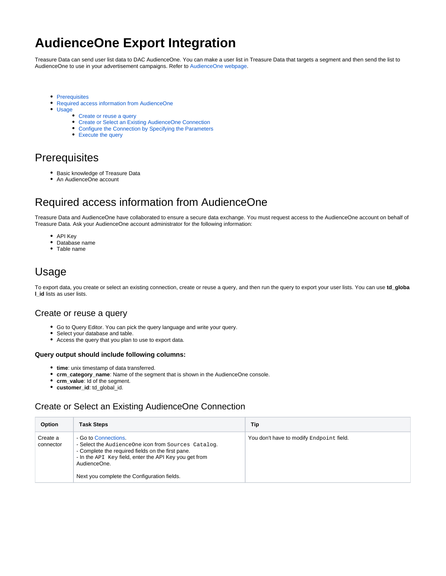# **AudienceOne Export Integration**

Treasure Data can send user list data to DAC AudienceOne. You can make a user list in Treasure Data that targets a segment and then send the list to AudienceOne to use in your advertisement campaigns. Refer to [AudienceOne webpage](https://www.dac.co.jp/service/solution/audienceone).

- [Prerequisites](#page-0-0)
- $\bullet$ [Required access information from AudienceOne](#page-0-1)
- $\bullet$ [Usage](#page-0-2)
	- [Create or reuse a query](#page-0-3)
		- [Create or Select an Existing AudienceOne Connection](#page-0-4)
		- [Configure the Connection by Specifying the Parameters](#page-2-0)
		- [Execute the query](#page-2-1)

### <span id="page-0-0"></span>**Prerequisites**

- Basic knowledge of Treasure Data
- An AudienceOne account

## <span id="page-0-1"></span>Required access information from AudienceOne

Treasure Data and AudienceOne have collaborated to ensure a secure data exchange. You must request access to the AudienceOne account on behalf of Treasure Data. Ask your AudienceOne account administrator for the following information:

- API Key
- Database name
- Table name

### <span id="page-0-2"></span>Usage

To export data, you create or select an existing connection, create or reuse a query, and then run the query to export your user lists. You can use **td\_globa l\_id** lists as user lists.

#### <span id="page-0-3"></span>Create or reuse a query

- Go to Query Editor. You can pick the query language and write your query.
- Select your database and table.
- Access the query that you plan to use to export data.

#### **Query output should include following columns:**

- **time**: unix timestamp of data transferred.
- **crm\_category\_name**: Name of the segment that is shown in the AudienceOne console.
- **crm\_value**: Id of the segment.
- **customer\_id**: td\_global\_id.

#### <span id="page-0-4"></span>Create or Select an Existing AudienceOne Connection

| Option                | <b>Task Steps</b>                                                                                                                                                                                                                                         | Tip                                      |
|-----------------------|-----------------------------------------------------------------------------------------------------------------------------------------------------------------------------------------------------------------------------------------------------------|------------------------------------------|
| Create a<br>connector | - Go to Connections.<br>- Select the AudienceOne icon from Sources Catalog.<br>- Complete the required fields on the first pane.<br>- In the API Key field, enter the API Key you get from<br>AudienceOne.<br>Next you complete the Configuration fields. | You don't have to modify Endpoint field. |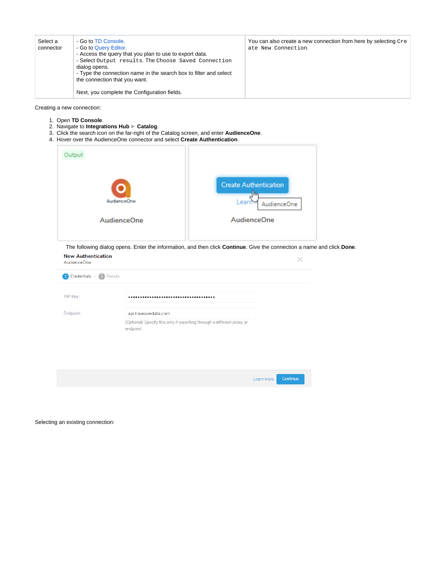| Select a<br>connector | - Go to TD Console.<br>- Go to Query Editor.<br>- Access the query that you plan to use to export data.<br>- Select Output results. The Choose Saved Connection<br>dialog opens.<br>- Type the connection name in the search box to filter and select<br>the connection that you want. | You can also create a new connection from here by selecting Cre<br>ate New Connection. |
|-----------------------|----------------------------------------------------------------------------------------------------------------------------------------------------------------------------------------------------------------------------------------------------------------------------------------|----------------------------------------------------------------------------------------|
|                       | Next, you complete the Configuration fields.                                                                                                                                                                                                                                           |                                                                                        |

Creating a new connection:

- 1. Open **TD Console**.
- 2. Navigate to **Integrations Hub** > **Catalog**.
- 3. Click the search icon on the far-right of the Catalog screen, and enter **AudienceOne**.
- 4. Hover over the AudienceOne connector and select **Create Authentication**.

| Output             |                                                            |
|--------------------|------------------------------------------------------------|
| AudienceOne        | <b>Create Authentication</b><br>1m<br>Learr<br>AudienceOne |
| <b>AudienceOne</b> | <b>AudienceOne</b>                                         |
|                    |                                                            |

 The following dialog opens. Enter the information, and then click **Continue**. Give the connection a name and click **Done**. **New Authentication**  $\checkmark$ 

| AudienceOne             |                                                                                     |            | $\sim$ $\sim$ |  |
|-------------------------|-------------------------------------------------------------------------------------|------------|---------------|--|
| Credentials > 2 Details |                                                                                     |            |               |  |
| API Key:                |                                                                                     |            |               |  |
| Endpoint:               | api.treasuredata.com                                                                |            |               |  |
|                         | (Optional) Specify this only if exporting through a different proxy or<br>endpoint. |            |               |  |
|                         |                                                                                     |            |               |  |
|                         |                                                                                     |            |               |  |
|                         |                                                                                     | Learn more | Continue      |  |
|                         |                                                                                     |            |               |  |

Selecting an existing connection: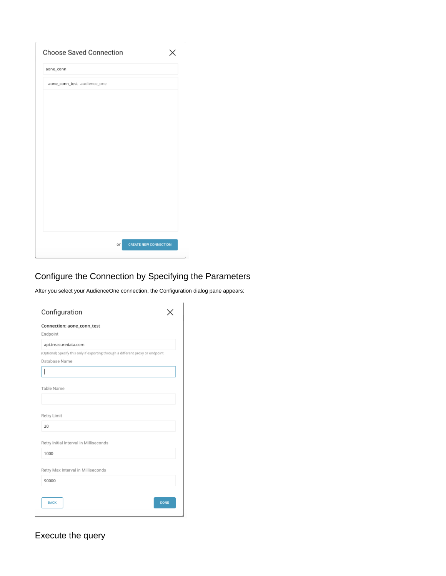| <b>Choose Saved Connection</b> |    |                              |
|--------------------------------|----|------------------------------|
| aone_conn                      |    |                              |
| aone_conn_test audience_one    |    |                              |
|                                |    |                              |
|                                |    |                              |
|                                |    |                              |
|                                |    |                              |
|                                |    |                              |
|                                |    |                              |
|                                |    |                              |
|                                |    |                              |
|                                |    |                              |
|                                |    |                              |
|                                |    |                              |
|                                |    |                              |
|                                | or | <b>CREATE NEW CONNECTION</b> |

### <span id="page-2-0"></span>Configure the Connection by Specifying the Parameters

After you select your AudienceOne connection, the Configuration dialog pane appears:

| Configuration                                                                    |
|----------------------------------------------------------------------------------|
| Connection: aone_conn_test<br>Endpoint                                           |
| api.treasuredata.com                                                             |
| (Optional) Specify this only if exporting through a different proxy or endpoint. |
| Database Name                                                                    |
|                                                                                  |
| Table Name                                                                       |
| <b>Retry Limit</b>                                                               |
| 20                                                                               |
| Retry Initial Interval in Milliseconds                                           |
| 1000                                                                             |
| Retry Max Interval in Milliseconds                                               |
| 90000                                                                            |
|                                                                                  |
| <b>DONE</b><br><b>BACK</b>                                                       |

<span id="page-2-1"></span>Execute the query